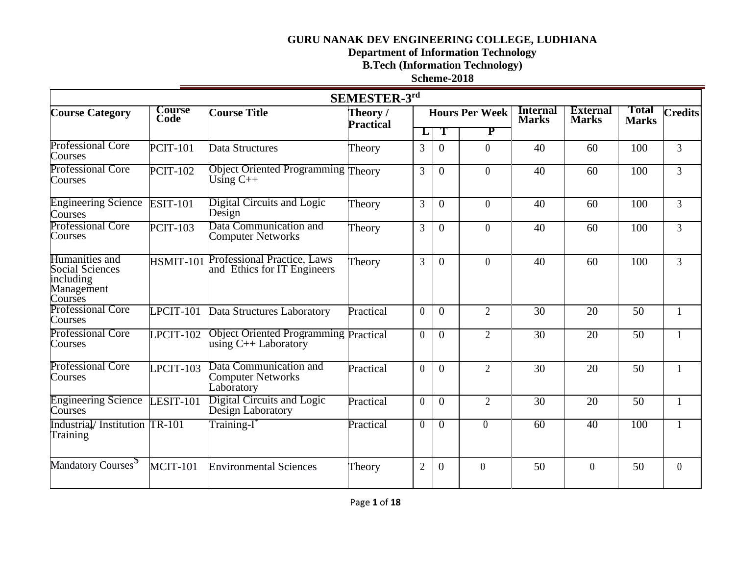**Department of Information Technology** 

# **B.Tech (Information Technology)**

**Scheme-2018**

|                                                                                |                              |                                                                        | SEMESTER-3rd                 |                |                |                       |                                 |                                 |                              |                |
|--------------------------------------------------------------------------------|------------------------------|------------------------------------------------------------------------|------------------------------|----------------|----------------|-----------------------|---------------------------------|---------------------------------|------------------------------|----------------|
| <b>Course Category</b>                                                         | <b>Course</b><br><b>Code</b> | <b>Course Title</b>                                                    | Theory /<br><b>Practical</b> |                |                | <b>Hours Per Week</b> | <b>Internal</b><br><b>Marks</b> | <b>External</b><br><b>Marks</b> | <b>Total</b><br><b>Marks</b> | <b>Credits</b> |
|                                                                                |                              |                                                                        |                              | L              | Т              | P                     |                                 |                                 |                              |                |
| <b>Professional Core</b><br>Courses                                            | <b>PCIT-101</b>              | Data Structures                                                        | Theory                       | 3              | $\Omega$       | $\theta$              | 40                              | 60                              | 100                          | $\overline{3}$ |
| <b>Professional Core</b><br>Courses                                            | <b>PCIT-102</b>              | <b>Object Oriented Programming Theory</b><br>Using $C_{++}$            |                              | 3              | $\Omega$       | $\theta$              | 40                              | 60                              | 100                          | $\overline{3}$ |
| <b>Engineering Science</b><br>Courses                                          | <b>ESIT-101</b>              | Digital Circuits and Logic<br>Design                                   | Theory                       | 3              | $\overline{0}$ | $\theta$              | 40                              | 60                              | 100                          | $\overline{3}$ |
| <b>Professional Core</b><br>Courses                                            | <b>PCIT-103</b>              | Data Communication and<br><b>Computer Networks</b>                     | Theory                       | $\overline{3}$ | $\overline{0}$ | $\theta$              | 40                              | 60                              | 100                          | $\overline{3}$ |
| Humanities and<br><b>Social Sciences</b><br>including<br>Management<br>Courses | HSMIT-101                    | <b>Professional Practice, Laws</b><br>and Ethics for IT Engineers      | Theory                       | 3              | $\Omega$       | $\theta$              | 40                              | 60                              | 100                          | $\overline{3}$ |
| <b>Professional Core</b><br>Courses                                            | $LPCIT-101$                  | Data Structures Laboratory                                             | Practical                    | $\theta$       | $\overline{0}$ | $\overline{2}$        | $\overline{30}$                 | $\overline{20}$                 | $\overline{50}$              |                |
| <b>Professional Core</b><br>Courses                                            | $LPCIT-102$                  | <b>Object Oriented Programming Practical</b><br>using $C++$ Laboratory |                              | $\theta$       | $\overline{0}$ | $\overline{2}$        | 30                              | 20                              | 50                           |                |
| <b>Professional Core</b><br>Courses                                            | LPCIT-103                    | Data Communication and<br><b>Computer Networks</b><br>Laboratory       | Practical                    | $\theta$       | $\Omega$       | $\overline{2}$        | 30                              | 20                              | 50                           | $\mathbf{1}$   |
| <b>Engineering Science</b><br>Courses                                          | LESIT-101                    | Digital Circuits and Logic<br>Design Laboratory                        | Practical                    | $\theta$       | $\Omega$       | $\overline{2}$        | 30                              | 20                              | 50                           |                |
| Industrial/Institution TR-101<br>Training                                      |                              | Training-I <sup>*</sup>                                                | Practical                    | $\theta$       | $\Omega$       | $\Omega$              | 60                              | 40                              | 100                          |                |
| Mandatory Courses <sup>5</sup>                                                 | <b>MCIT-101</b>              | <b>Environmental Sciences</b>                                          | Theory                       | $\overline{2}$ | $\Omega$       | $\overline{0}$        | 50                              | $\overline{0}$                  | 50                           | $\overline{0}$ |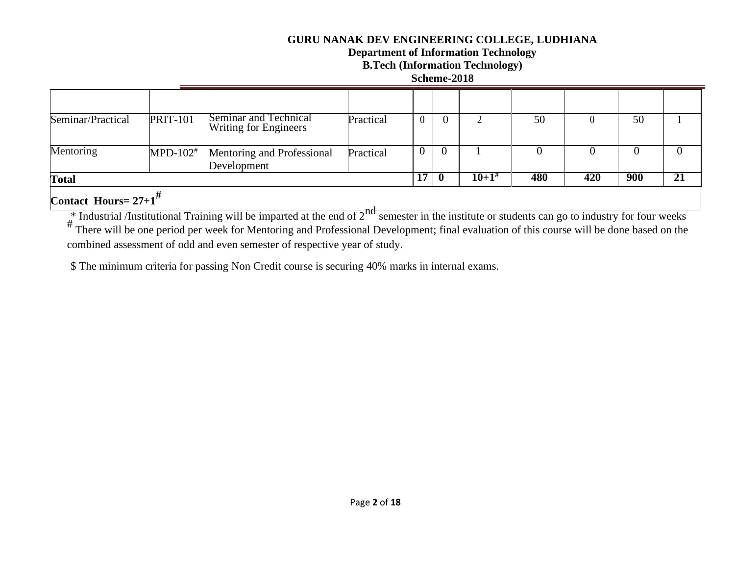# **Department of Information Technology**

# **B.Tech (Information Technology)**

**Scheme-2018**

| Contact Hours= $27+1^{\frac{\pi}{4}}$ |                        |                                                       |           |          |            |     |     |     |    |
|---------------------------------------|------------------------|-------------------------------------------------------|-----------|----------|------------|-----|-----|-----|----|
| <b>Total</b>                          |                        |                                                       |           | 17       | $10+1^{#}$ | 480 | 420 | 900 | 21 |
| Mentoring                             | $MPD-102$ <sup>#</sup> | Mentoring and Professional<br>Development             | Practical | $\theta$ |            |     |     |     | U  |
| Seminar/Practical                     | <b>PRIT-101</b>        | Seminar and Technical<br><b>Writing for Engineers</b> | Practical |          |            | 50  |     | 50  |    |
|                                       |                        |                                                       |           |          |            |     |     |     |    |

 $*$  Industrial /Institutional Training will be imparted at the end of  $2<sup>nd</sup>$  semester in the institute or students can go to industry for four weeks

# There will be one period per week for Mentoring and Professional Development; final evaluation of this course will be done based on the combined assessment of odd and even semester of respective year of study.

\$ The minimum criteria for passing Non Credit course is securing 40% marks in internal exams.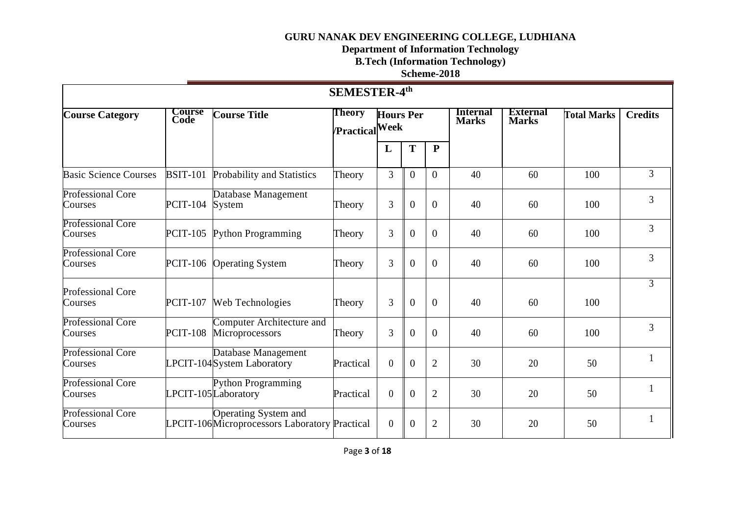#### **Department of Information Technology**

**B.Tech (Information Technology)** 

# **Scheme-2018**

| SEMESTER-4 <sup>th</sup>            |                       |                                                                                     |                                 |                  |                |                |                                 |                                 |                    |                |  |  |
|-------------------------------------|-----------------------|-------------------------------------------------------------------------------------|---------------------------------|------------------|----------------|----------------|---------------------------------|---------------------------------|--------------------|----------------|--|--|
| <b>Course Category</b>              | <b>Course</b><br>Code | <b>Course Title</b>                                                                 | Theory<br><b>Practical</b> Week | <b>Hours Per</b> |                |                | <b>Internal</b><br><b>Marks</b> | <b>External</b><br><b>Marks</b> | <b>Total Marks</b> | <b>Credits</b> |  |  |
|                                     |                       |                                                                                     |                                 | L                | T              | ${\bf P}$      |                                 |                                 |                    |                |  |  |
| <b>Basic Science Courses</b>        | <b>BSIT-101</b>       | Probability and Statistics                                                          | Theory                          | $\overline{3}$   | $\overline{0}$ | $\overline{0}$ | 40                              | 60                              | 100                | $\overline{3}$ |  |  |
| <b>Professional Core</b><br>Courses | <b>PCIT-104</b>       | Database Management<br>System                                                       | Theory                          | 3                | $\overline{0}$ | $\overline{0}$ | 40                              | 60                              | 100                | 3              |  |  |
| <b>Professional Core</b><br>Courses | <b>PCIT-105</b>       | Python Programming                                                                  | Theory                          | 3                | $\overline{0}$ | $\overline{0}$ | 40                              | 60                              | 100                | 3              |  |  |
| <b>Professional Core</b><br>Courses | <b>PCIT-106</b>       | <b>Operating System</b>                                                             | Theory                          | 3                | $\overline{0}$ | $\overline{0}$ | 40                              | 60                              | 100                | 3              |  |  |
| <b>Professional Core</b><br>Courses | <b>PCIT-107</b>       | Web Technologies                                                                    | Theory                          | 3                | $\overline{0}$ | $\overline{0}$ | 40                              | 60                              | 100                | $\overline{3}$ |  |  |
| <b>Professional Core</b><br>Courses | <b>PCIT-108</b>       | Computer Architecture and<br>Microprocessors                                        | Theory                          | 3                | $\overline{0}$ | $\overline{0}$ | 40                              | 60                              | 100                | 3              |  |  |
| <b>Professional Core</b><br>Courses |                       | Database Management<br>LPCIT-104System Laboratory                                   | Practical                       | $\boldsymbol{0}$ | $\Omega$       | $\overline{2}$ | 30                              | 20                              | 50                 |                |  |  |
| <b>Professional Core</b><br>Courses |                       | <b>Python Programming</b><br>LPCIT-105Laboratory                                    | Practical                       | $\overline{0}$   | $\overline{0}$ | $\overline{2}$ | 30                              | 20                              | 50                 |                |  |  |
| <b>Professional Core</b><br>Courses |                       | <b>Operating System and</b><br><b>LPCIT-106Microprocessors Laboratory Practical</b> |                                 | $\boldsymbol{0}$ | $\overline{0}$ | $\overline{2}$ | 30                              | 20                              | 50                 |                |  |  |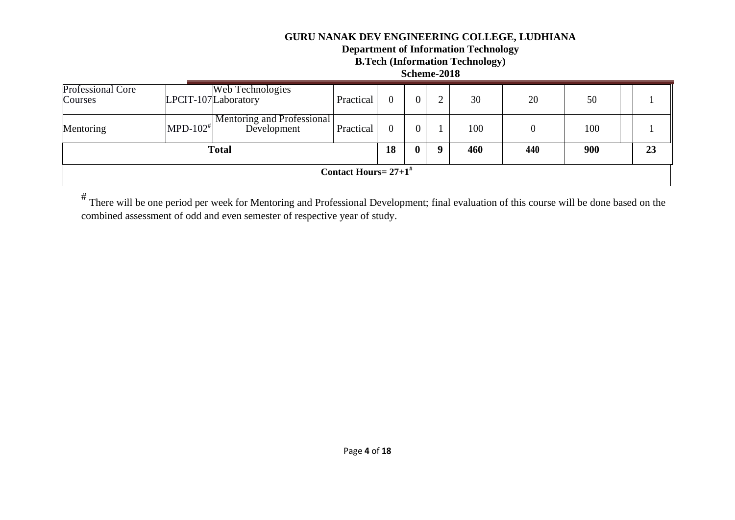## **Department of Information Technology**

**B.Tech (Information Technology)** 

#### **Scheme-2018**

| Professional Core<br>Courses |             | Web Technologies<br>LPCIT-107Laboratory   | Practical                           |  |              |             | 30  | 20  | 50  |    |
|------------------------------|-------------|-------------------------------------------|-------------------------------------|--|--------------|-------------|-----|-----|-----|----|
| Mentoring                    | $MPD-102^*$ | Mentoring and Professional<br>Development | Practical                           |  |              |             | 100 | 0   | 100 |    |
| <b>Total</b>                 |             |                                           |                                     |  | $\mathbf{0}$ | $\mathbf u$ | 460 | 440 | 900 | 23 |
|                              |             |                                           | Contact Hours = $27+1$ <sup>#</sup> |  |              |             |     |     |     |    |

# There will be one period per week for Mentoring and Professional Development; final evaluation of this course will be done based on the combined assessment of odd and even semester of respective year of study.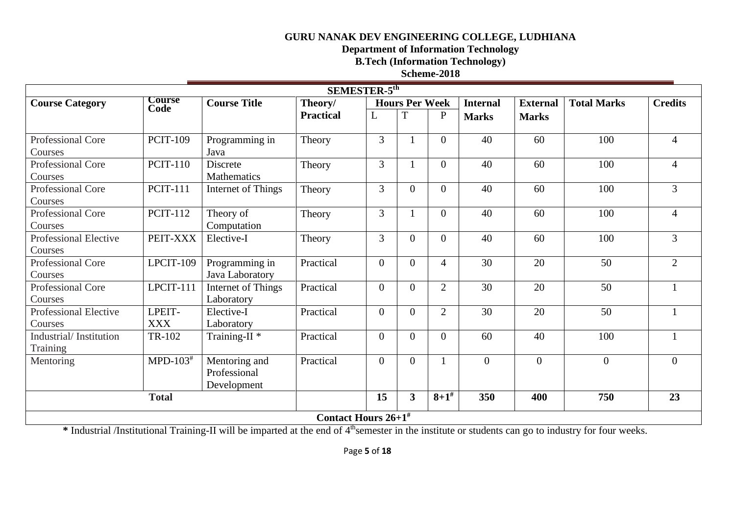**Department of Information Technology** 

**B.Tech (Information Technology)** 

## **Scheme-2018**

| SEMESTER-5 <sup>th</sup>                                                                                                                            |                              |                          |                                   |                |                       |                |                 |                 |                    |                |  |  |  |
|-----------------------------------------------------------------------------------------------------------------------------------------------------|------------------------------|--------------------------|-----------------------------------|----------------|-----------------------|----------------|-----------------|-----------------|--------------------|----------------|--|--|--|
| <b>Course Category</b>                                                                                                                              | <b>Course</b><br><b>Code</b> | <b>Course Title</b>      | Theory/                           |                | <b>Hours Per Week</b> |                | <b>Internal</b> | <b>External</b> | <b>Total Marks</b> | <b>Credits</b> |  |  |  |
|                                                                                                                                                     |                              |                          | <b>Practical</b>                  | L              | T                     | $\mathbf{P}$   | <b>Marks</b>    | <b>Marks</b>    |                    |                |  |  |  |
|                                                                                                                                                     |                              |                          |                                   |                |                       |                |                 |                 |                    |                |  |  |  |
| <b>Professional Core</b>                                                                                                                            | <b>PCIT-109</b>              | Programming in           | Theory                            | 3              |                       | $\mathbf{0}$   | 40              | 60              | 100                | $\overline{4}$ |  |  |  |
| Courses                                                                                                                                             |                              | Java                     |                                   |                |                       |                |                 |                 |                    |                |  |  |  |
| Professional Core                                                                                                                                   | <b>PCIT-110</b>              | Discrete                 | Theory                            | 3              |                       | $\overline{0}$ | 40              | 60              | 100                | $\overline{4}$ |  |  |  |
| Courses                                                                                                                                             |                              | Mathematics              |                                   |                |                       |                |                 |                 |                    |                |  |  |  |
| <b>Professional Core</b><br><b>PCIT-111</b><br>3<br>$\overline{3}$<br>$\theta$<br>$\overline{0}$<br>40<br>60<br>100<br>Internet of Things<br>Theory |                              |                          |                                   |                |                       |                |                 |                 |                    |                |  |  |  |
| Courses                                                                                                                                             |                              |                          |                                   |                |                       |                |                 |                 |                    |                |  |  |  |
| <b>Professional Core</b>                                                                                                                            | <b>PCIT-112</b>              | Theory of                | Theory                            | $\overline{3}$ |                       | $\overline{0}$ | 40              | 60              | 100                | $\overline{4}$ |  |  |  |
| Courses                                                                                                                                             |                              | Computation              |                                   |                |                       |                |                 |                 |                    |                |  |  |  |
| <b>Professional Elective</b>                                                                                                                        | PEIT-XXX                     | Elective-I               | Theory                            | 3              | $\theta$              | $\overline{0}$ | 40              | 60              | 100                | 3              |  |  |  |
| Courses                                                                                                                                             |                              |                          |                                   |                |                       |                |                 |                 |                    |                |  |  |  |
| Professional Core                                                                                                                                   | LPCIT-109                    | Programming in           | Practical                         | $\overline{0}$ | $\theta$              | $\overline{4}$ | 30              | 20              | 50                 | $\overline{2}$ |  |  |  |
| Courses                                                                                                                                             |                              | Java Laboratory          |                                   |                |                       |                |                 |                 |                    |                |  |  |  |
| <b>Professional Core</b>                                                                                                                            | $LPCIT-111$                  | Internet of Things       | Practical                         | $\theta$       | $\theta$              | $\overline{2}$ | 30              | 20              | 50                 | $\mathbf{1}$   |  |  |  |
| Courses                                                                                                                                             |                              | Laboratory               |                                   |                |                       |                |                 |                 |                    |                |  |  |  |
| <b>Professional Elective</b>                                                                                                                        | LPEIT-                       | Elective-I               | Practical                         | $\theta$       | $\theta$              | $\overline{2}$ | 30              | 20              | 50                 | $\mathbf{1}$   |  |  |  |
| Courses                                                                                                                                             | <b>XXX</b>                   | Laboratory               |                                   |                |                       |                |                 |                 |                    |                |  |  |  |
| Industrial/Institution                                                                                                                              | TR-102                       | Training-II <sup>*</sup> | Practical                         | $\theta$       | $\theta$              | $\overline{0}$ | 60              | 40              | 100                | $\mathbf{1}$   |  |  |  |
| Training                                                                                                                                            |                              |                          |                                   |                |                       |                |                 |                 |                    |                |  |  |  |
| Mentoring                                                                                                                                           | $MPD-103#$                   | Mentoring and            | Practical                         | $\theta$       | $\Omega$              | 1              | $\Omega$        | $\Omega$        | $\overline{0}$     | $\theta$       |  |  |  |
|                                                                                                                                                     |                              | Professional             |                                   |                |                       |                |                 |                 |                    |                |  |  |  |
|                                                                                                                                                     | Development                  |                          |                                   |                |                       |                |                 |                 |                    |                |  |  |  |
|                                                                                                                                                     | <b>Total</b>                 |                          |                                   | 15             | $\mathbf{3}$          | $8 + 1^{\#}$   | 350             | 400             | 750                | 23             |  |  |  |
|                                                                                                                                                     |                              |                          | Contact Hours $26+1$ <sup>#</sup> |                |                       |                |                 |                 |                    |                |  |  |  |

\* Industrial /Institutional Training-II will be imparted at the end of 4<sup>th</sup>semester in the institute or students can go to industry for four weeks.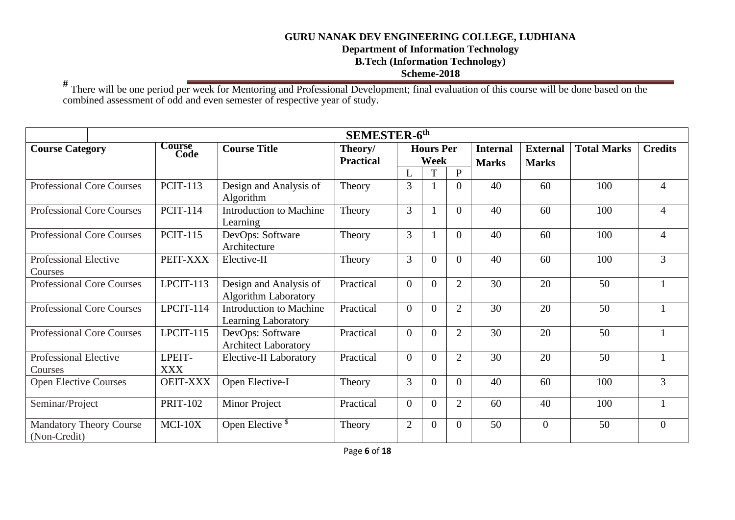**Department of Information Technology** 

**B.Tech (Information Technology)** 

# **Scheme-2018**

**#** There will be one period per week for Mentoring and Professional Development; final evaluation of this course will be done based on the combined assessment of odd and even semester of respective year of study.

|                                                |                       |                                                       | <b>SEMESTER-6th</b> |                |                  |                |                 |                 |                    |                |
|------------------------------------------------|-----------------------|-------------------------------------------------------|---------------------|----------------|------------------|----------------|-----------------|-----------------|--------------------|----------------|
| <b>Course Category</b>                         | <b>Course</b><br>Code | <b>Course Title</b>                                   | Theory/             |                | <b>Hours Per</b> |                | <b>Internal</b> | <b>External</b> | <b>Total Marks</b> | <b>Credits</b> |
|                                                |                       |                                                       | <b>Practical</b>    |                | Week             |                | <b>Marks</b>    | <b>Marks</b>    |                    |                |
|                                                |                       |                                                       |                     | L              | T                | $\mathbf{P}$   |                 |                 |                    |                |
| <b>Professional Core Courses</b>               | <b>PCIT-113</b>       | Design and Analysis of<br>Algorithm                   | Theory              | 3              |                  | $\theta$       | 40              | 60              | 100                | $\overline{4}$ |
| <b>Professional Core Courses</b>               | <b>PCIT-114</b>       | <b>Introduction to Machine</b><br>Learning            | Theory              | $\overline{3}$ |                  | $\Omega$       | 40              | 60              | 100                | $\overline{4}$ |
| <b>Professional Core Courses</b>               | <b>PCIT-115</b>       | DevOps: Software<br>Architecture                      | Theory              | $\overline{3}$ |                  | $\Omega$       | 40              | 60              | 100                | $\overline{4}$ |
| <b>Professional Elective</b><br>Courses        | PEIT-XXX              | Elective-II                                           | Theory              | 3              | $\overline{0}$   | $\Omega$       | 40              | 60              | 100                | $\overline{3}$ |
| <b>Professional Core Courses</b>               | LPCIT-113             | Design and Analysis of<br><b>Algorithm Laboratory</b> | Practical           | $\overline{0}$ | $\overline{0}$   | $\overline{2}$ | 30              | 20              | 50                 |                |
| <b>Professional Core Courses</b>               | LPCIT-114             | <b>Introduction to Machine</b><br>Learning Laboratory | Practical           | $\theta$       | $\theta$         | 2              | 30              | 20              | 50                 |                |
| <b>Professional Core Courses</b>               | LPCIT-115             | DevOps: Software<br><b>Architect Laboratory</b>       | Practical           | $\theta$       | $\theta$         | 2              | 30              | 20              | 50                 |                |
| Professional Elective<br>Courses               | LPEIT-<br><b>XXX</b>  | Elective-II Laboratory                                | Practical           | $\theta$       | $\overline{0}$   | 2              | 30              | 20              | 50                 |                |
| <b>Open Elective Courses</b>                   | <b>OEIT-XXX</b>       | Open Elective-I                                       | Theory              | 3              | $\overline{0}$   | $\Omega$       | 40              | 60              | 100                | $\overline{3}$ |
| Seminar/Project                                | <b>PRIT-102</b>       | <b>Minor Project</b>                                  | Practical           | $\theta$       | $\overline{0}$   | $\overline{2}$ | 60              | 40              | 100                |                |
| <b>Mandatory Theory Course</b><br>(Non-Credit) | $MCI-10X$             | Open Elective <sup>\$</sup>                           | Theory              | $\overline{2}$ | $\overline{0}$   | $\Omega$       | 50              | $\theta$        | 50                 | $\Omega$       |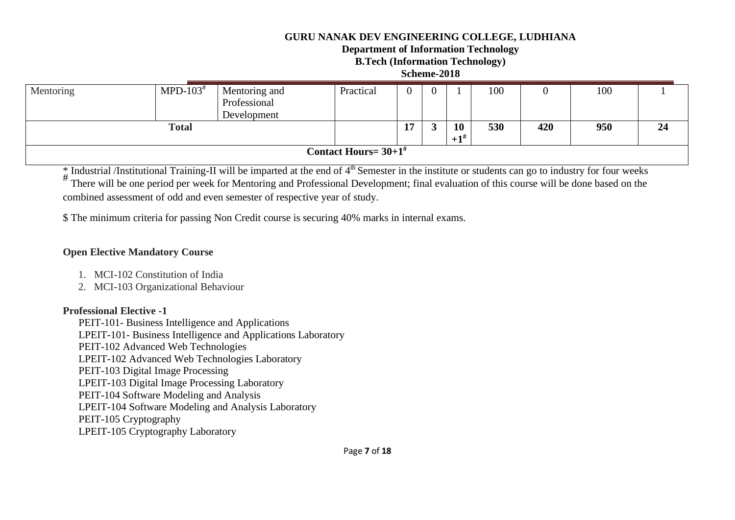#### **Department of Information Technology**

**B.Tech (Information Technology)** 

#### **Scheme-2018**

| Mentoring | $MPD-103$ <sup>#</sup> | Mentoring and<br>Professional<br>Development | Practical                           |    |                         | 100 |     | 100 |    |
|-----------|------------------------|----------------------------------------------|-------------------------------------|----|-------------------------|-----|-----|-----|----|
|           | <b>Total</b>           |                                              |                                     | л. | 10<br>$+1$ <sup>#</sup> | 530 | 420 | 950 | 24 |
|           |                        |                                              | Contact Hours = $30+1$ <sup>#</sup> |    |                         |     |     |     |    |

 $_{\shortparallel}^*$  Industrial /Institutional Training-II will be imparted at the end of  $4^{\text{th}}$  Semester in the institute or students can go to industry for four weeks

# There will be one period per week for Mentoring and Professional Development; final evaluation of this course will be done based on the combined assessment of odd and even semester of respective year of study.

\$ The minimum criteria for passing Non Credit course is securing 40% marks in internal exams.

#### **Open Elective Mandatory Course**

- 1. MCI-102 Constitution of India
- 2. MCI-103 Organizational Behaviour

### **Professional Elective -1**

PEIT-101- Business Intelligence and Applications LPEIT-101- Business Intelligence and Applications Laboratory PEIT-102 Advanced Web Technologies LPEIT-102 Advanced Web Technologies Laboratory PEIT-103 Digital Image Processing LPEIT-103 Digital Image Processing Laboratory PEIT-104 Software Modeling and Analysis LPEIT-104 Software Modeling and Analysis Laboratory PEIT-105 Cryptography LPEIT-105 Cryptography Laboratory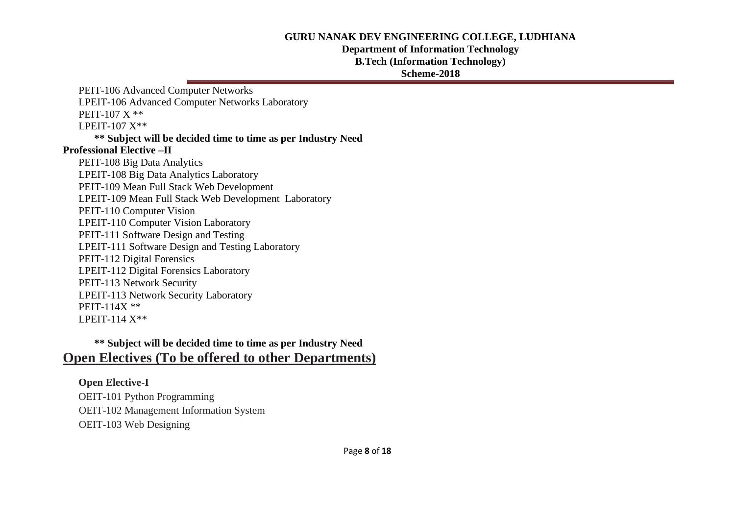#### **Department of Information Technology**

**B.Tech (Information Technology)** 

#### **Scheme-2018**

PEIT-106 Advanced Computer Networks LPEIT-106 Advanced Computer Networks Laboratory PEIT-107 X \*\* LPEIT-107 X\*\* **\*\* Subject will be decided time to time as per Industry Need Professional Elective –II** PEIT-108 Big Data Analytics LPEIT-108 Big Data Analytics Laboratory PEIT-109 Mean Full Stack Web Development LPEIT-109 Mean Full Stack Web Development Laboratory PEIT-110 Computer Vision LPEIT-110 Computer Vision Laboratory PEIT-111 Software Design and Testing LPEIT-111 Software Design and Testing Laboratory PEIT-112 Digital Forensics LPEIT-112 Digital Forensics Laboratory PEIT-113 Network Security LPEIT-113 Network Security Laboratory PEIT-114X \*\* LPEIT-114 X\*\*

# **\*\* Subject will be decided time to time as per Industry Need Open Electives (To be offered to other Departments)**

# **Open Elective-I**

OEIT-101 Python Programming OEIT-102 Management Information System OEIT-103 Web Designing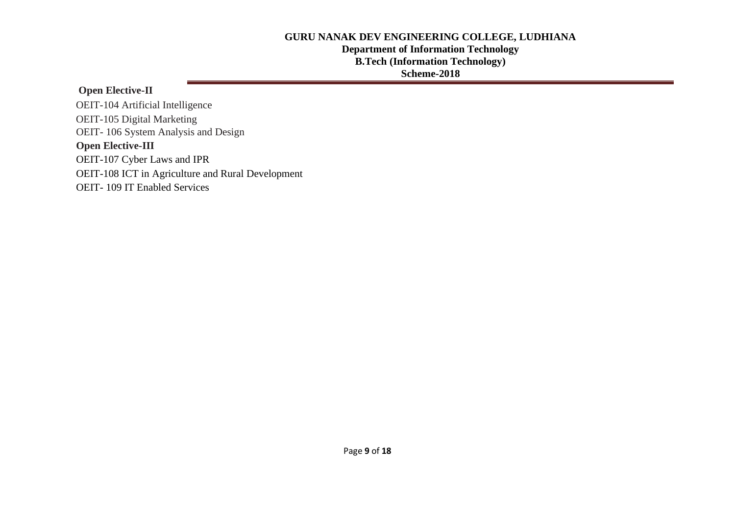# **Department of Information Technology B.Tech (Information Technology)**

# **Scheme-2018**

## **Open Elective-II**

 OEIT- 106 System Analysis and Design  **Open Elective-III** OEIT-107 Cyber Laws and IPR OEIT-108 ICT in Agriculture and Rural Development OEIT- 109 IT Enabled Services OEIT-104 Artificial Intelligence OEIT-105 Digital Marketing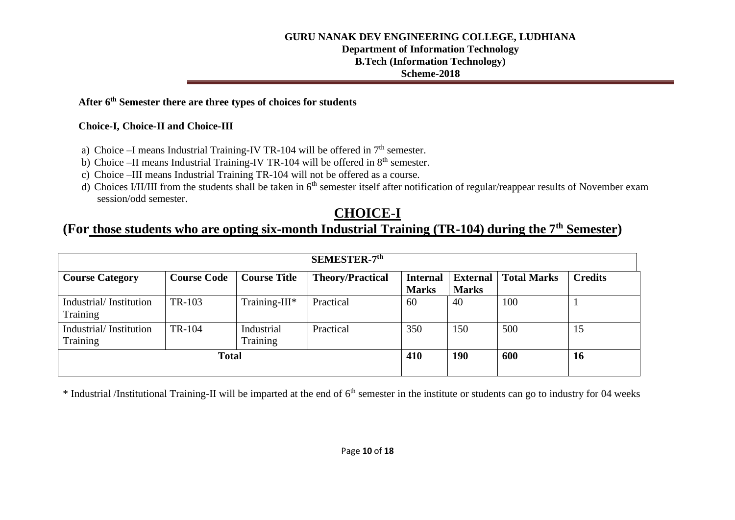# **Department of Information Technology**

# **B.Tech (Information Technology)**

#### **Scheme-2018**

# **After 6th Semester there are three types of choices for students**

### **Choice-I, Choice-II and Choice-III**

- a) Choice –I means Industrial Training-IV TR-104 will be offered in  $7<sup>th</sup>$  semester.
- b) Choice –II means Industrial Training-IV TR-104 will be offered in  $8<sup>th</sup>$  semester.
- c) Choice –III means Industrial Training TR-104 will not be offered as a course.
- d) Choices I/II/III from the students shall be taken in  $6<sup>th</sup>$  semester itself after notification of regular/reappear results of November exam session/odd semester.

# **CHOICE-I**

# **(For those students who are opting six-month Industrial Training (TR-104) during the 7th Semester)**

| SEMESTER-7 <sup>th</sup>           |                    |                        |                         |                                 |                                 |                    |                |  |  |  |
|------------------------------------|--------------------|------------------------|-------------------------|---------------------------------|---------------------------------|--------------------|----------------|--|--|--|
| <b>Course Category</b>             | <b>Course Code</b> | <b>Course Title</b>    | <b>Theory/Practical</b> | <b>Internal</b><br><b>Marks</b> | <b>External</b><br><b>Marks</b> | <b>Total Marks</b> | <b>Credits</b> |  |  |  |
| Industrial/Institution<br>Training | TR-103             | Training-III*          | Practical               | 60                              | 40                              | 100                |                |  |  |  |
| Industrial/Institution<br>Training | TR-104             | Industrial<br>Training | Practical               | 350                             | 150                             | 500                | 15             |  |  |  |
|                                    | <b>Total</b>       |                        |                         | 410                             | 190                             | 600                | <b>16</b>      |  |  |  |

\* Industrial /Institutional Training-II will be imparted at the end of 6<sup>th</sup> semester in the institute or students can go to industry for 04 weeks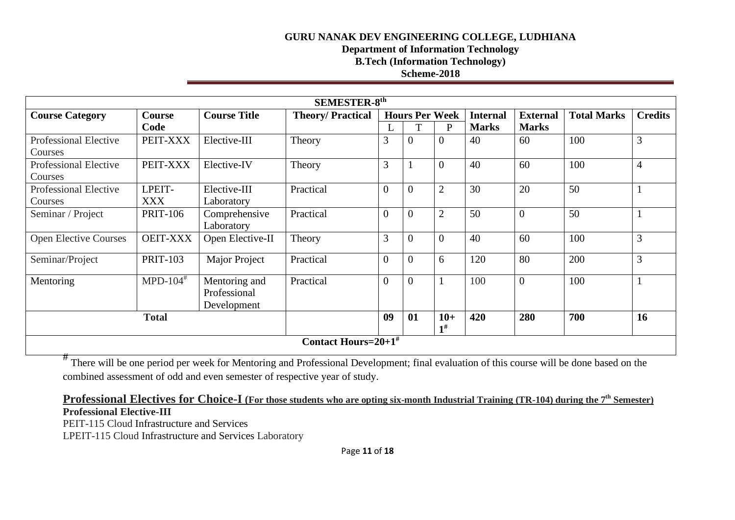# **Department of Information Technology**

**B.Tech (Information Technology)** 

### **Scheme-2018**

| <b>SEMESTER-8th</b>          |                        |                     |                                    |                |                       |                |                 |                 |                    |                |  |  |
|------------------------------|------------------------|---------------------|------------------------------------|----------------|-----------------------|----------------|-----------------|-----------------|--------------------|----------------|--|--|
| <b>Course Category</b>       | <b>Course</b>          | <b>Course Title</b> | <b>Theory/Practical</b>            |                | <b>Hours Per Week</b> |                | <b>Internal</b> | <b>External</b> | <b>Total Marks</b> | <b>Credits</b> |  |  |
|                              | Code                   |                     |                                    | ⊥              | ፐ                     | P              | <b>Marks</b>    | <b>Marks</b>    |                    |                |  |  |
| <b>Professional Elective</b> | PEIT-XXX               | Elective-III        | Theory                             | 3              | $\overline{0}$        | $\overline{0}$ | 40              | 60              | 100                | 3              |  |  |
| Courses                      |                        |                     |                                    |                |                       |                |                 |                 |                    |                |  |  |
| <b>Professional Elective</b> | PEIT-XXX               | Elective-IV         | Theory                             | 3              |                       | $\overline{0}$ | 40              | 60              | 100                | $\overline{4}$ |  |  |
| Courses                      |                        |                     |                                    |                |                       |                |                 |                 |                    |                |  |  |
| Professional Elective        | LPEIT-                 | Elective-III        | Practical                          | $\overline{0}$ | $\overline{0}$        | $\overline{2}$ | 30              | 20              | 50                 |                |  |  |
| Courses                      | <b>XXX</b>             | Laboratory          |                                    |                |                       |                |                 |                 |                    |                |  |  |
| Seminar / Project            | <b>PRIT-106</b>        | Comprehensive       | Practical                          | $\overline{0}$ | $\overline{0}$        | $\overline{2}$ | 50              | $\overline{0}$  | 50                 |                |  |  |
|                              |                        | Laboratory          |                                    |                |                       |                |                 |                 |                    |                |  |  |
| <b>Open Elective Courses</b> | <b>OEIT-XXX</b>        | Open Elective-II    | Theory                             | 3              | $\overline{0}$        | $\overline{0}$ | 40              | 60              | 100                | 3              |  |  |
| Seminar/Project              | <b>PRIT-103</b>        | Major Project       | Practical                          | $\theta$       | $\overline{0}$        | 6              | 120             | 80              | 200                | 3              |  |  |
| Mentoring                    | $MPD-104$ <sup>#</sup> | Mentoring and       | Practical                          | $\overline{0}$ | $\boldsymbol{0}$      |                | 100             | $\overline{0}$  | 100                |                |  |  |
|                              |                        | Professional        |                                    |                |                       |                |                 |                 |                    |                |  |  |
|                              |                        | Development         |                                    |                |                       |                |                 |                 |                    |                |  |  |
|                              | <b>Total</b>           |                     |                                    | 09             | 01                    | $10+$          | 420             | 280             | 700                | 16             |  |  |
|                              |                        |                     |                                    |                |                       | 1#             |                 |                 |                    |                |  |  |
|                              |                        |                     | Contact Hours= $20+1$ <sup>#</sup> |                |                       |                |                 |                 |                    |                |  |  |

# There will be one period per week for Mentoring and Professional Development; final evaluation of this course will be done based on the combined assessment of odd and even semester of respective year of study.

**Professional Electives for Choice-I (For those students who are opting six-month Industrial Training (TR-104) during the 7th Semester) Professional Elective-III**

PEIT-115 Cloud Infrastructure and Services

LPEIT-115 Cloud Infrastructure and Services Laboratory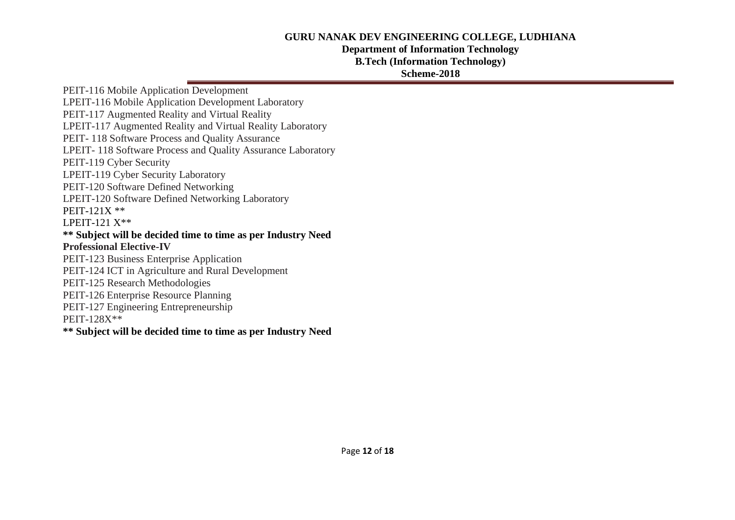#### **Department of Information Technology**

**B.Tech (Information Technology)** 

#### **Scheme-2018**

PEIT-116 Mobile Application Development LPEIT-116 Mobile Application Development Laboratory PEIT-117 Augmented Reality and Virtual Reality LPEIT-117 Augmented Reality and Virtual Reality Laboratory PEIT- 118 Software Process and Quality Assurance LPEIT- 118 Software Process and Quality Assurance Laboratory PEIT-119 Cyber Security LPEIT-119 Cyber Security Laboratory PEIT-120 Software Defined Networking LPEIT-120 Software Defined Networking Laboratory PEIT-121X \*\* LPEIT-121 X\*\* **\*\* Subject will be decided time to time as per Industry Need Professional Elective-IV** PEIT-123 Business Enterprise Application PEIT-124 ICT in Agriculture and Rural Development PEIT-125 Research Methodologies PEIT-126 Enterprise Resource Planning PEIT-127 Engineering Entrepreneurship PEIT-128X\*\* **\*\* Subject will be decided time to time as per Industry Need**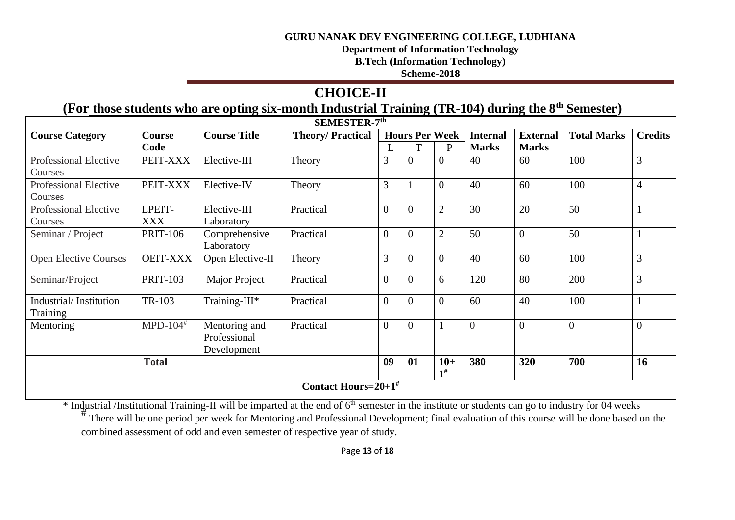**Department of Information Technology** 

**B.Tech (Information Technology)** 

**Scheme-2018**

# **CHOICE-II**

# **(For those students who are opting six-month Industrial Training (TR-104) during the 8 th Semester)**

| SEMESTER-7th                            |                                    |                                              |                         |                  |                       |                |                 |                 |                    |                |  |  |
|-----------------------------------------|------------------------------------|----------------------------------------------|-------------------------|------------------|-----------------------|----------------|-----------------|-----------------|--------------------|----------------|--|--|
| <b>Course Category</b>                  | <b>Course</b>                      | <b>Course Title</b>                          | <b>Theory/Practical</b> |                  | <b>Hours Per Week</b> |                | <b>Internal</b> | <b>External</b> | <b>Total Marks</b> | <b>Credits</b> |  |  |
|                                         | Code                               |                                              |                         |                  |                       | P              | <b>Marks</b>    | <b>Marks</b>    |                    |                |  |  |
| <b>Professional Elective</b><br>Courses | PEIT-XXX                           | Elective-III                                 | Theory                  | 3                | $\overline{0}$        | $\overline{0}$ | 40              | 60              | 100                | 3              |  |  |
| <b>Professional Elective</b><br>Courses | PEIT-XXX                           | Elective-IV                                  | Theory                  | 3                |                       | $\overline{0}$ | 40              | 60              | 100                | $\overline{4}$ |  |  |
| <b>Professional Elective</b><br>Courses | LPEIT-<br><b>XXX</b>               | Elective-III<br>Laboratory                   | Practical               | $\overline{0}$   | $\boldsymbol{0}$      | $\overline{2}$ | 30              | 20              | 50                 | $\mathbf{1}$   |  |  |
| Seminar / Project                       | <b>PRIT-106</b>                    | Comprehensive<br>Laboratory                  | Practical               | $\overline{0}$   | $\overline{0}$        | $\overline{2}$ | 50              | $\theta$        | 50                 | $\mathbf{1}$   |  |  |
| <b>Open Elective Courses</b>            | <b>OEIT-XXX</b>                    | Open Elective-II                             | Theory                  | 3                | $\overline{0}$        | $\overline{0}$ | 40              | 60              | 100                | 3              |  |  |
| Seminar/Project                         | <b>PRIT-103</b>                    | <b>Major Project</b>                         | Practical               | $\boldsymbol{0}$ | $\boldsymbol{0}$      | 6              | 120             | 80              | 200                | 3              |  |  |
| Industrial/Institution<br>Training      | TR-103                             | Training-III*                                | Practical               | $\overline{0}$   | $\overline{0}$        | $\overline{0}$ | 60              | 40              | 100                | $\mathbf{1}$   |  |  |
| Mentoring                               | MPD- $104$ <sup>#</sup>            | Mentoring and<br>Professional<br>Development | Practical               | $\overline{0}$   | $\overline{0}$        |                | $\overline{0}$  | $\theta$        | $\overline{0}$     | $\overline{0}$ |  |  |
|                                         | <b>Total</b>                       |                                              |                         | 09               | 01                    | $10+$<br>$1\#$ | 380             | 320             | 700                | 16             |  |  |
|                                         | Contact Hours= $20+1$ <sup>#</sup> |                                              |                         |                  |                       |                |                 |                 |                    |                |  |  |

\* Industrial /Institutional Training-II will be imparted at the end of 6<sup>th</sup> semester in the institute or students can go to industry for 04 weeks

There will be one period per week for Mentoring and Professional Development; final evaluation of this course will be done based on the combined assessment of odd and even semester of respective year of study.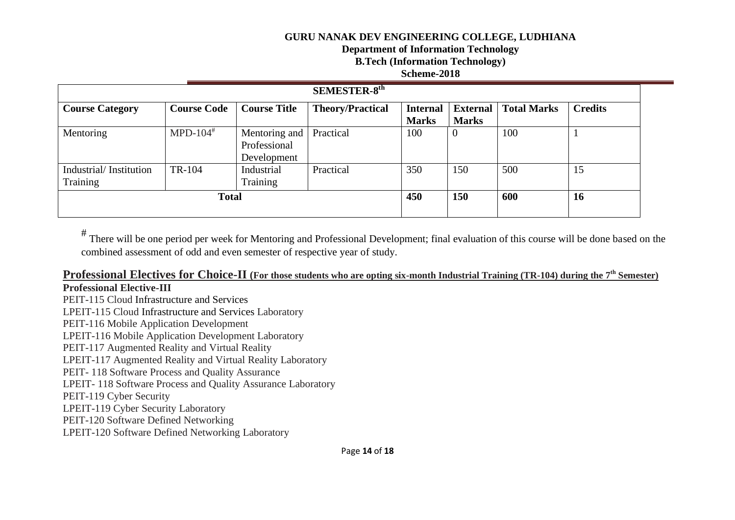**Department of Information Technology** 

**B.Tech (Information Technology)** 

### **Scheme-2018**

| <b>SEMESTER-8th</b>                |                         |                                              |                         |                                 |                                 |                    |                |  |  |  |
|------------------------------------|-------------------------|----------------------------------------------|-------------------------|---------------------------------|---------------------------------|--------------------|----------------|--|--|--|
| <b>Course Category</b>             | <b>Course Code</b>      | <b>Course Title</b>                          | <b>Theory/Practical</b> | <b>Internal</b><br><b>Marks</b> | <b>External</b><br><b>Marks</b> | <b>Total Marks</b> | <b>Credits</b> |  |  |  |
| Mentoring                          | MPD- $104$ <sup>#</sup> | Mentoring and<br>Professional<br>Development | Practical               | 100                             | $\overline{0}$                  | 100                |                |  |  |  |
| Industrial/Institution<br>Training | TR-104                  | Industrial<br>Training                       | Practical               | 350                             | 150                             | 500                | 15             |  |  |  |
|                                    | <b>Total</b>            |                                              |                         | 450                             | <b>150</b>                      | 600                | 16             |  |  |  |

# There will be one period per week for Mentoring and Professional Development; final evaluation of this course will be done based on the combined assessment of odd and even semester of respective year of study.

#### **Professional Electives for Choice-II (For those students who are opting six-month Industrial Training (TR-104) during the 7th Semester) Professional Elective-III**

PEIT-115 Cloud Infrastructure and Services LPEIT-115 Cloud Infrastructure and Services Laboratory PEIT-116 Mobile Application Development LPEIT-116 Mobile Application Development Laboratory PEIT-117 Augmented Reality and Virtual Reality LPEIT-117 Augmented Reality and Virtual Reality Laboratory PEIT- 118 Software Process and Quality Assurance LPEIT- 118 Software Process and Quality Assurance Laboratory PEIT-119 Cyber Security LPEIT-119 Cyber Security Laboratory PEIT-120 Software Defined Networking LPEIT-120 Software Defined Networking Laboratory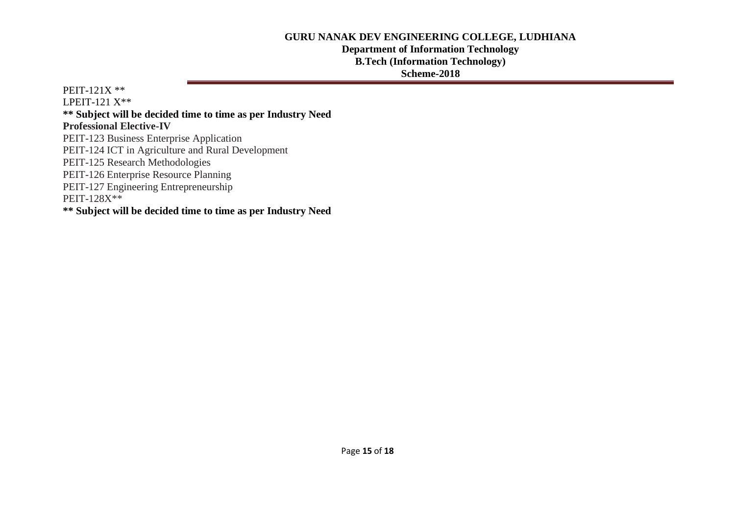### **Department of Information Technology B.Tech (Information Technology)**

### **Scheme-2018**

PEIT-121X \*\* LPEIT-121  $X^{**}$ **\*\* Subject will be decided time to time as per Industry Need Professional Elective-IV** PEIT-123 Business Enterprise Application PEIT-124 ICT in Agriculture and Rural Development PEIT-125 Research Methodologies PEIT-126 Enterprise Resource Planning PEIT-127 Engineering Entrepreneurship PEIT-128X\*\* **\*\* Subject will be decided time to time as per Industry Need**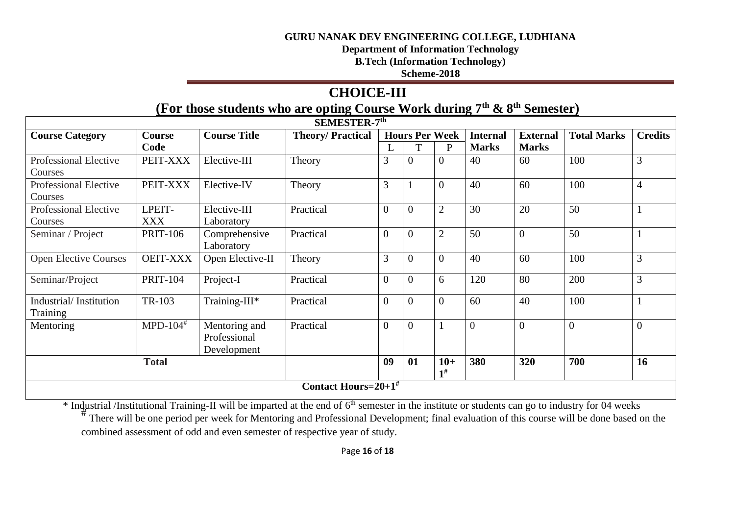**Department of Information Technology** 

**B.Tech (Information Technology)** 

**Scheme-2018**

# **CHOICE-III**

# **(For those students who are opting Course Work during 7th & 8th Semester)**

| SEMESTER-7 <sup>th</sup>                |                                    |                                              |                         |                  |                       |                |                 |                 |                    |                |  |  |
|-----------------------------------------|------------------------------------|----------------------------------------------|-------------------------|------------------|-----------------------|----------------|-----------------|-----------------|--------------------|----------------|--|--|
| <b>Course Category</b>                  | <b>Course</b>                      | <b>Course Title</b>                          | <b>Theory/Practical</b> |                  | <b>Hours Per Week</b> |                | <b>Internal</b> | <b>External</b> | <b>Total Marks</b> | <b>Credits</b> |  |  |
|                                         | Code                               |                                              |                         |                  |                       | $\mathbf{P}$   | <b>Marks</b>    | <b>Marks</b>    |                    |                |  |  |
| <b>Professional Elective</b><br>Courses | PEIT-XXX                           | Elective-III                                 | Theory                  | 3                | $\overline{0}$        | $\theta$       | 40              | 60              | 100                | 3              |  |  |
| Professional Elective<br>Courses        | PEIT-XXX                           | Elective-IV                                  | Theory                  | 3                |                       | $\Omega$       | 40              | 60              | 100                | $\overline{4}$ |  |  |
| Professional Elective<br>Courses        | LPEIT-<br><b>XXX</b>               | Elective-III<br>Laboratory                   | Practical               | $\overline{0}$   | $\overline{0}$        | $\overline{2}$ | 30              | 20              | 50                 |                |  |  |
| Seminar / Project                       | <b>PRIT-106</b>                    | Comprehensive<br>Laboratory                  | Practical               | $\overline{0}$   | $\overline{0}$        | $\overline{2}$ | 50              | $\theta$        | 50                 |                |  |  |
| <b>Open Elective Courses</b>            | <b>OEIT-XXX</b>                    | Open Elective-II                             | Theory                  | 3                | $\overline{0}$        | $\Omega$       | 40              | 60              | 100                | 3              |  |  |
| Seminar/Project                         | <b>PRIT-104</b>                    | Project-I                                    | Practical               | $\boldsymbol{0}$ | $\overline{0}$        | 6              | 120             | 80              | 200                | 3              |  |  |
| Industrial/Institution<br>Training      | TR-103                             | Training-III*                                | Practical               | $\overline{0}$   | $\theta$              | $\overline{0}$ | 60              | 40              | 100                |                |  |  |
| Mentoring                               | MPD- $104$ <sup>#</sup>            | Mentoring and<br>Professional<br>Development | Practical               | $\overline{0}$   | $\overline{0}$        |                | $\overline{0}$  | $\overline{0}$  | $\overline{0}$     | $\overline{0}$ |  |  |
|                                         | <b>Total</b>                       |                                              |                         | 09               | 01                    | $10+$<br>$1\#$ | 380             | 320             | 700                | 16             |  |  |
|                                         | Contact Hours= $20+1$ <sup>#</sup> |                                              |                         |                  |                       |                |                 |                 |                    |                |  |  |

\* Industrial /Institutional Training-II will be imparted at the end of 6<sup>th</sup> semester in the institute or students can go to industry for 04 weeks

There will be one period per week for Mentoring and Professional Development; final evaluation of this course will be done based on the combined assessment of odd and even semester of respective year of study.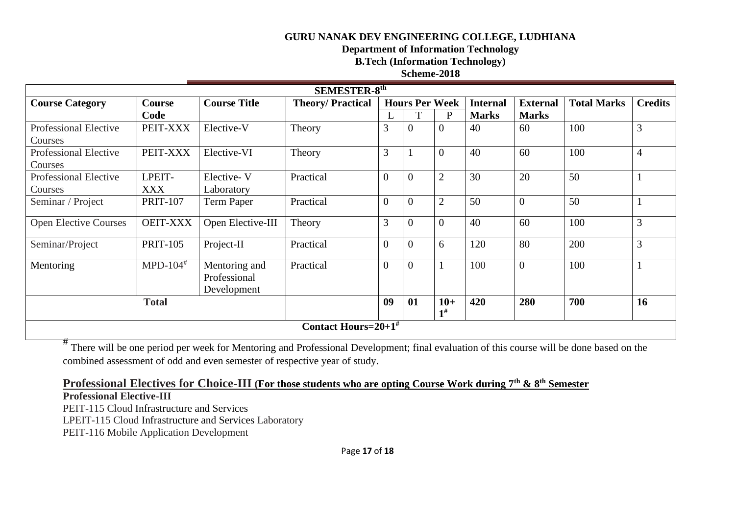**Department of Information Technology** 

**B.Tech (Information Technology)** 

## **Scheme-2018**

| <b>SEMESTER-8th</b>                |                        |                                              |                         |                       |                |                            |                 |                 |                    |                |
|------------------------------------|------------------------|----------------------------------------------|-------------------------|-----------------------|----------------|----------------------------|-----------------|-----------------|--------------------|----------------|
| <b>Course Category</b>             | <b>Course</b>          | <b>Course Title</b>                          | <b>Theory/Practical</b> | <b>Hours Per Week</b> |                |                            | <b>Internal</b> | <b>External</b> | <b>Total Marks</b> | <b>Credits</b> |
|                                    | Code                   |                                              |                         |                       | T              | P                          | <b>Marks</b>    | <b>Marks</b>    |                    |                |
| Professional Elective              | PEIT-XXX               | Elective-V                                   | Theory                  | 3                     | $\overline{0}$ | $\overline{0}$             | 40              | 60              | 100                | 3              |
| Courses                            |                        |                                              |                         |                       |                |                            |                 |                 |                    |                |
| Professional Elective              | PEIT-XXX               | Elective-VI                                  | Theory                  | 3                     |                | $\overline{0}$             | 40              | 60              | 100                | $\overline{4}$ |
| Courses                            |                        |                                              |                         |                       |                |                            |                 |                 |                    |                |
| <b>Professional Elective</b>       | LPEIT-                 | Elective-V                                   | Practical               | $\overline{0}$        | $\overline{0}$ | $\overline{2}$             | 30              | 20              | 50                 |                |
| Courses                            | <b>XXX</b>             | Laboratory                                   |                         |                       |                |                            |                 |                 |                    |                |
| Seminar / Project                  | <b>PRIT-107</b>        | Term Paper                                   | Practical               | $\overline{0}$        | $\overline{0}$ | $\overline{2}$             | 50              | $\theta$        | 50                 |                |
| <b>Open Elective Courses</b>       | <b>OEIT-XXX</b>        | Open Elective-III                            | Theory                  | 3                     | $\overline{0}$ | $\mathbf{0}$               | 40              | 60              | 100                | 3              |
| Seminar/Project                    | <b>PRIT-105</b>        | Project-II                                   | Practical               | $\overline{0}$        | $\overline{0}$ | 6                          | 120             | 80              | 200                | 3              |
| Mentoring                          | $MPD-104$ <sup>#</sup> | Mentoring and<br>Professional<br>Development | Practical               | $\overline{0}$        | $\overline{0}$ |                            | 100             | $\overline{0}$  | 100                | -1             |
| <b>Total</b>                       |                        |                                              |                         | 09                    | 01             | $10+$<br>$\mathbf{1}^{\#}$ | 420             | 280             | 700                | 16             |
| Contact Hours= $20+1$ <sup>#</sup> |                        |                                              |                         |                       |                |                            |                 |                 |                    |                |

<sup>#</sup> There will be one period per week for Mentoring and Professional Development; final evaluation of this course will be done based on the combined assessment of odd and even semester of respective year of study.

# **Professional Electives for Choice-III (For those students who are opting Course Work during 7th & 8th Semester**

# **Professional Elective-III**

PEIT-115 Cloud Infrastructure and Services LPEIT-115 Cloud Infrastructure and Services Laboratory PEIT-116 Mobile Application Development